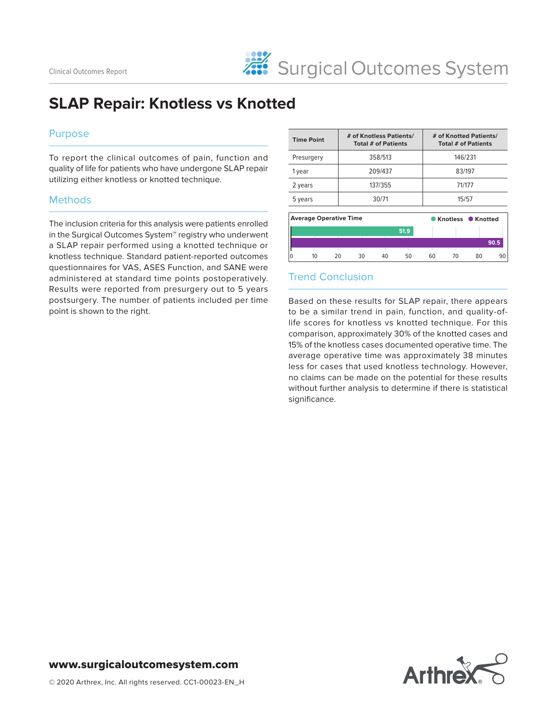# **SLAP Repair: Knotless vs Knotted**

#### Purpose

To report the clinical outcomes of pain, function and quality of life for patients who have undergone SLAP repair utilizing either knotless or knotted technique.

#### **Methods**

The inclusion criteria for this analysis were patients enrolled in the Surgical Outcomes System™ registry who underwent a SLAP repair performed using a knotted technique or knotless technique. Standard patient-reported outcomes questionnaires for VAS, ASES Function, and SANE were administered at standard time points postoperatively. Results were reported from presurgery out to 5 years postsurgery. The number of patients included per time point is shown to the right.

| <b>Time Point</b>             | # of Knotless Patients/<br>Total # of Patients | # of Knotted Patients/<br><b>Total # of Patients</b> |      |        |                  |    |      |  |
|-------------------------------|------------------------------------------------|------------------------------------------------------|------|--------|------------------|----|------|--|
| Presurgery                    |                                                | 146/231                                              |      |        |                  |    |      |  |
| 1 year                        | 209/437                                        |                                                      |      | 83/197 |                  |    |      |  |
| 2 years                       | 137/355                                        |                                                      |      | 71/177 |                  |    |      |  |
| 5 years                       | 30/71                                          |                                                      |      | 15/57  |                  |    |      |  |
| <b>Average Operative Time</b> |                                                |                                                      |      |        | Knotless Knotted |    |      |  |
|                               |                                                |                                                      | 51.9 |        |                  |    | 90.5 |  |
| 10                            | 30<br>20                                       | 40                                                   | 50   | 60     | 70               | 80 | 90   |  |

## Trend Conclusion

Based on these results for SLAP repair, there appears to be a similar trend in pain, function, and quality-oflife scores for knotless vs knotted technique. For this comparison, approximately 30% of the knotted cases and 15% of the knotless cases documented operative time. The average operative time was approximately 38 minutes less for cases that used knotless technology. However, no claims can be made on the potential for these results without further analysis to determine if there is statistical significance.

# **Arthrex**

### www.surgicaloutcomesystem.com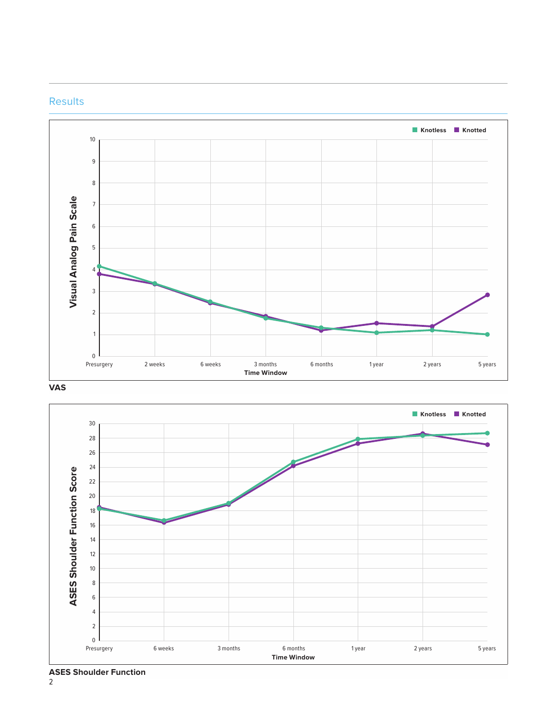



**VAS**



**ASES Shoulder Function**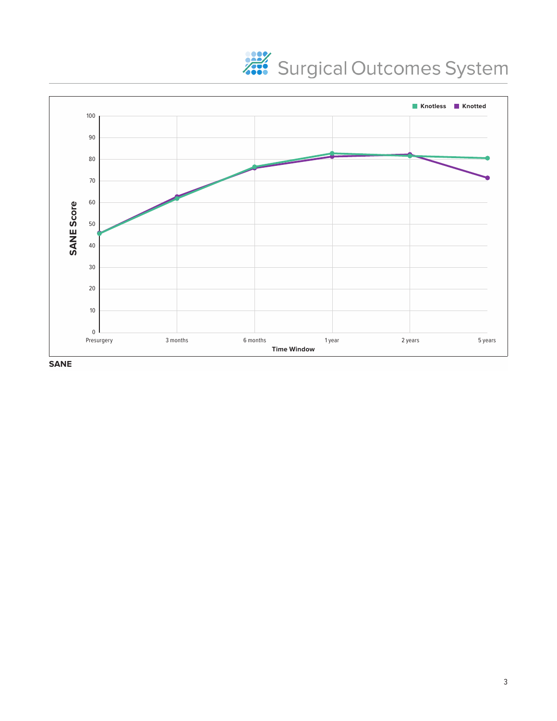



**SANE**